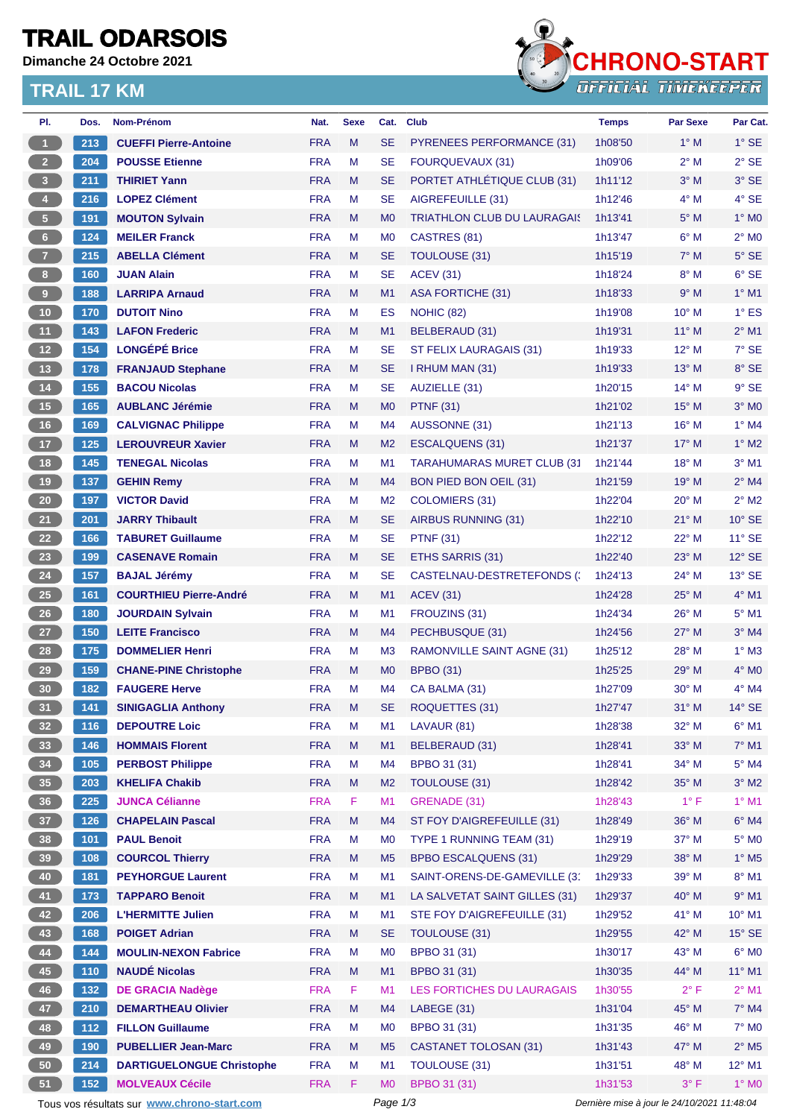## **TRAIL ODARSOIS**

**Dimanche 24 Octobre 2021**

### **TRAIL 17 KM**



| PI.                     | Dos.       | <b>Nom-Prénom</b>                                        | Nat.       | <b>Sexe</b> | Cat.           | <b>Club</b>                        | <b>Temps</b>                                | <b>Par Sexe</b> | Par Cat.                 |
|-------------------------|------------|----------------------------------------------------------|------------|-------------|----------------|------------------------------------|---------------------------------------------|-----------------|--------------------------|
| $\blacksquare$          | 213        | <b>CUEFFI Pierre-Antoine</b>                             | <b>FRA</b> | M           | <b>SE</b>      | <b>PYRENEES PERFORMANCE (31)</b>   | 1h08'50                                     | $1^\circ$ M     | $1^\circ$ SE             |
| 2 <sup>7</sup>          | 204        | <b>POUSSE Etienne</b>                                    | <b>FRA</b> | M           | <b>SE</b>      | <b>FOURQUEVAUX (31)</b>            | 1h09'06                                     | $2^{\circ}$ M   | $2°$ SE                  |
| $\overline{\mathbf{3}}$ | 211        | <b>THIRIET Yann</b>                                      | <b>FRA</b> | M           | <b>SE</b>      | PORTET ATHLÉTIQUE CLUB (31)        | 1h11'12                                     | $3^\circ$ M     | $3°$ SE                  |
| $\overline{\mathbf{4}}$ | 216        | <b>LOPEZ Clément</b>                                     | <b>FRA</b> | М           | <b>SE</b>      | AIGREFEUILLE (31)                  | 1h12'46                                     | $4^\circ$ M     | $4°$ SE                  |
| $\sqrt{5}$              | 191        | <b>MOUTON Sylvain</b>                                    | <b>FRA</b> | M           | M <sub>0</sub> | <b>TRIATHLON CLUB DU LAURAGAIS</b> | 1h13'41                                     | $5^\circ$ M     | $1^\circ$ MO             |
| $6\phantom{.}6$         | 124        | <b>MEILER Franck</b>                                     | <b>FRA</b> | M           | M <sub>0</sub> | CASTRES (81)                       | 1h13'47                                     | $6^\circ$ M     | $2^{\circ}$ MO           |
| $\overline{7}$          | 215        | <b>ABELLA Clément</b>                                    | <b>FRA</b> | M           | <b>SE</b>      | <b>TOULOUSE (31)</b>               | 1h15'19                                     | $7^\circ$ M     | $5^\circ$ SE             |
| 8 <sup>1</sup>          | 160        | <b>JUAN Alain</b>                                        | <b>FRA</b> | M           | <b>SE</b>      | <b>ACEV (31)</b>                   | 1h18'24                                     | $8^\circ$ M     | $6°$ SE                  |
| 9                       | 188        | <b>LARRIPA Arnaud</b>                                    | <b>FRA</b> | M           | M <sub>1</sub> | ASA FORTICHE (31)                  | 1h18'33                                     | $9^\circ$ M     | $1^\circ$ M1             |
| $10$                    | 170        | <b>DUTOIT Nino</b>                                       | <b>FRA</b> | м           | ES             | <b>NOHIC (82)</b>                  | 1h19'08                                     | $10^{\circ}$ M  | $1^\circ$ ES             |
| 11                      | 143        | <b>LAFON Frederic</b>                                    | <b>FRA</b> | M           | M1             | BELBERAUD (31)                     | 1h19'31                                     | $11^{\circ}$ M  | $2^{\circ}$ M1           |
| 12 <sup>7</sup>         | 154        | <b>LONGÉPÉ Brice</b>                                     | <b>FRA</b> | М           | <b>SE</b>      | ST FELIX LAURAGAIS (31)            | 1h19'33                                     | $12^{\circ}$ M  | $7°$ SE                  |
| $13$                    | 178        | <b>FRANJAUD Stephane</b>                                 | <b>FRA</b> | M           | <b>SE</b>      | I RHUM MAN (31)                    | 1h19'33                                     | 13° M           | 8° SE                    |
| 14                      | 155        | <b>BACOU Nicolas</b>                                     | <b>FRA</b> | М           | <b>SE</b>      | AUZIELLE (31)                      | 1h20'15                                     | $14^{\circ}$ M  | $9°$ SE                  |
| 15                      | 165        | <b>AUBLANC Jérémie</b>                                   | <b>FRA</b> | M           | M <sub>0</sub> | <b>PTNF (31)</b>                   | 1h21'02                                     | $15^{\circ}$ M  | $3^\circ$ MO             |
| 16                      | 169        | <b>CALVIGNAC Philippe</b>                                | <b>FRA</b> | M           | M <sub>4</sub> | AUSSONNE (31)                      | 1h21'13                                     | $16^{\circ}$ M  | $1^\circ$ M4             |
| 17                      | 125        | <b>LEROUVREUR Xavier</b>                                 | <b>FRA</b> | M           | M <sub>2</sub> | <b>ESCALQUENS (31)</b>             | 1h21'37                                     | 17° M           | $1^\circ$ M2             |
| 18                      | 145        | <b>TENEGAL Nicolas</b>                                   | <b>FRA</b> | М           | M <sub>1</sub> | <b>TARAHUMARAS MURET CLUB (31)</b> | 1h21'44                                     | $18^{\circ}$ M  | $3°$ M1                  |
| 19                      | 137        | <b>GEHIN Remy</b>                                        | <b>FRA</b> | M           | M <sub>4</sub> | BON PIED BON OEIL (31)             | 1h21'59                                     | 19° M           | $2^{\circ}$ M4           |
| $20\degree$             | 197        | <b>VICTOR David</b>                                      | <b>FRA</b> | М           | M <sub>2</sub> | <b>COLOMIERS (31)</b>              | 1h22'04                                     | $20^\circ$ M    | $2^{\circ}$ M2           |
| 21                      | 201        | <b>JARRY Thibault</b>                                    | <b>FRA</b> | M           | <b>SE</b>      | AIRBUS RUNNING (31)                | 1h22'10                                     | $21^{\circ}$ M  | $10^{\circ}$ SE          |
| 22                      | 166        | <b>TABURET Guillaume</b>                                 | <b>FRA</b> | M           | <b>SE</b>      | <b>PTNF (31)</b>                   | 1h22'12                                     | 22° M           | $11^\circ$ SE            |
| 23                      | 199        | <b>CASENAVE Romain</b>                                   | <b>FRA</b> | M           | <b>SE</b>      | ETHS SARRIS (31)                   | 1h22'40                                     | $23^\circ$ M    | $12^{\circ}$ SE          |
| 24                      | 157        | <b>BAJAL Jérémy</b>                                      | <b>FRA</b> | M           | <b>SE</b>      | CASTELNAU-DESTRETEFONDS (          | 1h24'13                                     | 24° M           | $13^\circ$ SE            |
| 25                      |            |                                                          | <b>FRA</b> | M           | M1             | <b>ACEV (31)</b>                   |                                             | $25^{\circ}$ M  | $4^\circ$ M1             |
| 26                      | 161<br>180 | <b>COURTHIEU Pierre-André</b><br><b>JOURDAIN Sylvain</b> | <b>FRA</b> | M           | M <sub>1</sub> | FROUZINS (31)                      | 1h24'28<br>1h24'34                          | $26^{\circ}$ M  | $5^{\circ}$ M1           |
| 27                      |            |                                                          | <b>FRA</b> |             |                |                                    |                                             | $27^\circ$ M    | $3°$ M4                  |
|                         | 150        | <b>LEITE Francisco</b>                                   |            | M           | M <sub>4</sub> | PECHBUSQUE (31)                    | 1h24'56                                     |                 |                          |
| 28                      | 175        | <b>DOMMELIER Henri</b>                                   | <b>FRA</b> | М           | M <sub>3</sub> | <b>RAMONVILLE SAINT AGNE (31)</b>  | 1h25'12                                     | 28° M           | $1^\circ$ M3             |
| 29                      | 159        | <b>CHANE-PINE Christophe</b>                             | <b>FRA</b> | M           | M <sub>0</sub> | <b>BPBO (31)</b>                   | 1h25'25                                     | $29^\circ$ M    | $4^\circ$ MO             |
| 30                      | 182        | <b>FAUGERE Herve</b>                                     | <b>FRA</b> | М           | M <sub>4</sub> | CA BALMA (31)                      | 1h27'09                                     | $30^\circ$ M    | $4^\circ$ M4             |
| 31                      | 141        | <b>SINIGAGLIA Anthony</b>                                | <b>FRA</b> | M           | <b>SE</b>      | ROQUETTES (31)                     | 1h27'47                                     | $31^\circ$ M    | $14^{\circ}$ SE          |
| 32                      | 116        | <b>DEPOUTRE Loic</b>                                     | <b>FRA</b> | M           | M1             | LAVAUR (81)                        | 1h28'38                                     | 32° M           | $6°$ M1                  |
| 33                      | 146        | <b>HOMMAIS Florent</b>                                   | <b>FRA</b> | M           | M1             | BELBERAUD (31)                     | 1h28'41                                     | 33° M           | $7^\circ$ M1             |
| 34                      | 105        | <b>PERBOST Philippe</b>                                  | <b>FRA</b> | M           | M <sub>4</sub> | BPBO 31 (31)                       | 1h28'41                                     | $34^\circ$ M    | $5^\circ$ M4             |
| 35                      | 203        | <b>KHELIFA Chakib</b>                                    | <b>FRA</b> | M           | M <sub>2</sub> | <b>TOULOUSE (31)</b>               | 1h28'42                                     | 35° M           | $3^\circ$ M2             |
| 36 <sup>°</sup>         | 225        | <b>JUNCA Célianne</b>                                    | <b>FRA</b> | F           | M1             | GRENADE (31)                       | 1h28'43                                     | $1^{\circ}$ F   | $1^\circ$ M1             |
| 37 <sup>°</sup>         | 126        | <b>CHAPELAIN Pascal</b>                                  | <b>FRA</b> | M           | M <sub>4</sub> | ST FOY D'AIGREFEUILLE (31)         | 1h28'49                                     | 36° M           | $6^\circ$ M4             |
| 38                      | $101$      | <b>PAUL Benoit</b>                                       | <b>FRA</b> | M           | M <sub>0</sub> | TYPE 1 RUNNING TEAM (31)           | 1h29'19                                     | 37° M           | $5^\circ$ MO             |
| 39                      | 108        | <b>COURCOL Thierry</b>                                   | <b>FRA</b> | M           | M <sub>5</sub> | <b>BPBO ESCALQUENS (31)</b>        | 1h29'29                                     | 38° M           | $1^\circ$ M <sub>5</sub> |
| $40\,$                  | 181        | <b>PEYHORGUE Laurent</b>                                 | <b>FRA</b> | М           | M1             | SAINT-ORENS-DE-GAMEVILLE (31       | 1h29'33                                     | 39° M           | $8^\circ$ M1             |
| 41                      | 173        | <b>TAPPARO Benoit</b>                                    | <b>FRA</b> | M           | M1             | LA SALVETAT SAINT GILLES (31)      | 1h29'37                                     | 40° M           | $9°$ M1                  |
| 42                      | 206        | <b>L'HERMITTE Julien</b>                                 | <b>FRA</b> | M           | M1             | STE FOY D'AIGREFEUILLE (31)        | 1h29'52                                     | $41^{\circ}$ M  | 10° M1                   |
| 43                      | 168        | <b>POIGET Adrian</b>                                     | <b>FRA</b> | M           | <b>SE</b>      | <b>TOULOUSE (31)</b>               | 1h29'55                                     | 42° M           | $15^\circ$ SE            |
| 44                      | 144        | <b>MOULIN-NEXON Fabrice</b>                              | <b>FRA</b> | M           | M <sub>0</sub> | BPBO 31 (31)                       | 1h30'17                                     | 43° M           | $6^{\circ}$ MO           |
| 45                      | 110        | <b>NAUDÉ Nicolas</b>                                     | <b>FRA</b> | M           | M <sub>1</sub> | BPBO 31 (31)                       | 1h30'35                                     | 44° M           | $11^{\circ}$ M1          |
| 46                      | 132        | <b>DE GRACIA Nadège</b>                                  | <b>FRA</b> | F           | M <sub>1</sub> | LES FORTICHES DU LAURAGAIS         | 1h30'55                                     | $2^{\circ}$ F   | $2^{\circ}$ M1           |
| 47                      | 210        | <b>DEMARTHEAU Olivier</b>                                | <b>FRA</b> | M           | M4             | LABEGE (31)                        | 1h31'04                                     | 45° M           | $7^\circ$ M4             |
| 48                      | $112$      | <b>FILLON Guillaume</b>                                  | <b>FRA</b> | M           | M <sub>0</sub> | BPBO 31 (31)                       | 1h31'35                                     | 46° M           | 7° M0                    |
| 49                      | 190        | <b>PUBELLIER Jean-Marc</b>                               | <b>FRA</b> | M           | M <sub>5</sub> | <b>CASTANET TOLOSAN (31)</b>       | 1h31'43                                     | 47° M           | $2^{\circ}$ M5           |
| 50                      | 214        | <b>DARTIGUELONGUE Christophe</b>                         | <b>FRA</b> | M           | M <sub>1</sub> | TOULOUSE (31)                      | 1h31'51                                     | 48° M           | $12^{\circ}$ M1          |
| 51                      | 152        | <b>MOLVEAUX Cécile</b>                                   | <b>FRA</b> | F.          | M <sub>0</sub> | BPBO 31 (31)                       | 1h31'53                                     | $3^{\circ}$ F   | $1^\circ$ MO             |
|                         |            | Tous vos résultats sur www.chrono-start.com              |            |             | Page 1/3       |                                    | Dernière mise à jour le 24/10/2021 11:48:04 |                 |                          |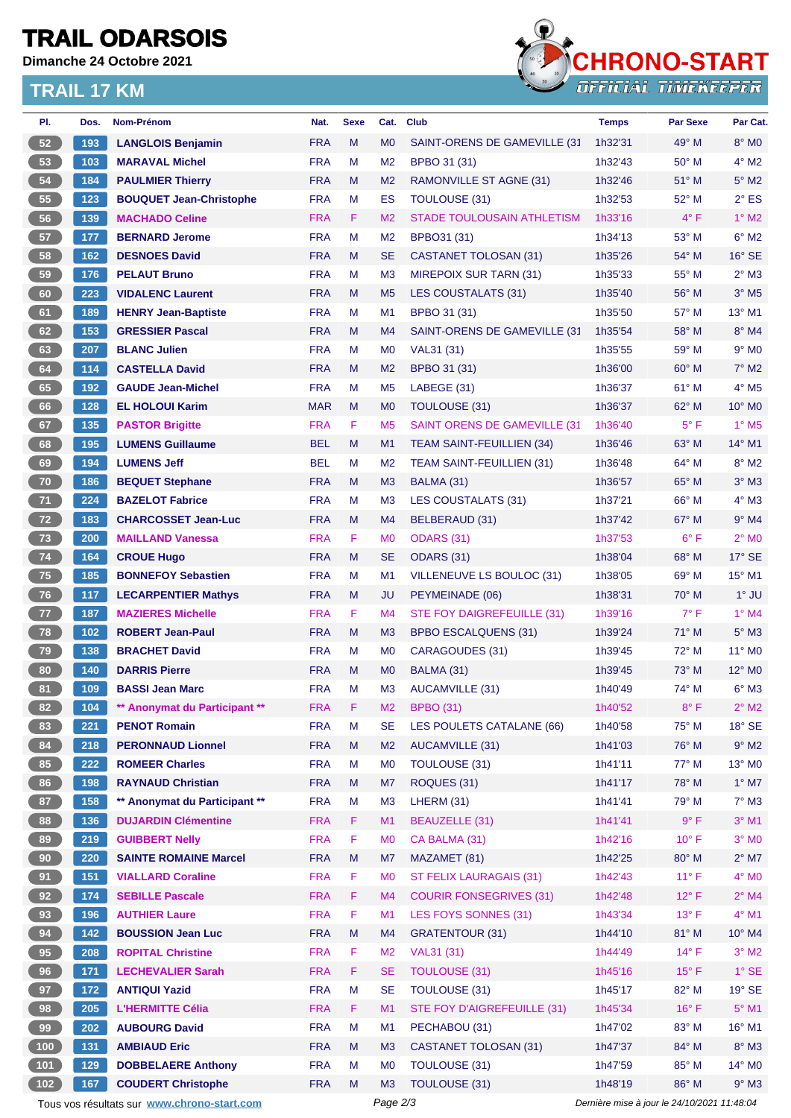# **TRAIL ODARSOIS**

**Dimanche 24 Octobre 2021**

### **TRAIL 17 KM**



| PI.   | Dos.  | Nom-Prénom                                  | Nat.       | <b>Sexe</b> | Cat.           | <b>Club</b>                          | <b>Temps</b>                                | <b>Par Sexe</b> | Par Cat.                 |
|-------|-------|---------------------------------------------|------------|-------------|----------------|--------------------------------------|---------------------------------------------|-----------------|--------------------------|
| 52    | 193   | <b>LANGLOIS Benjamin</b>                    | <b>FRA</b> | M           | M <sub>0</sub> | <b>SAINT-ORENS DE GAMEVILLE (31)</b> | 1h32'31                                     | 49° M           | 8° MO                    |
| 53    | 103   | <b>MARAVAL Michel</b>                       | <b>FRA</b> | М           | M <sub>2</sub> | BPBO 31 (31)                         | 1h32'43                                     | $50^\circ$ M    | $4^\circ$ M2             |
| 54    | $184$ | <b>PAULMIER Thierry</b>                     | <b>FRA</b> | M           | M <sub>2</sub> | RAMONVILLE ST AGNE (31)              | 1h32'46                                     | 51° M           | $5^\circ$ M2             |
| 55    | 123   | <b>BOUQUET Jean-Christophe</b>              | <b>FRA</b> | M           | ES             | TOULOUSE (31)                        | 1h32'53                                     | 52° M           | $2^{\circ}$ ES           |
| 56    | 139   | <b>MACHADO Celine</b>                       | <b>FRA</b> | F           | M <sub>2</sub> | STADE TOULOUSAIN ATHLETISM           | 1h33'16                                     | $4^{\circ}$ F   | $1^\circ$ M2             |
| 57    | 177   | <b>BERNARD Jerome</b>                       | <b>FRA</b> | M           | M <sub>2</sub> | BPBO31 (31)                          | 1h34'13                                     | 53° M           | $6^{\circ}$ M2           |
| 58    | 162   | <b>DESNOES David</b>                        | <b>FRA</b> | M           | <b>SE</b>      | CASTANET TOLOSAN (31)                | 1h35'26                                     | 54° M           | $16^\circ$ SE            |
| 59    | 176   | <b>PELAUT Bruno</b>                         | <b>FRA</b> | M           | M <sub>3</sub> | MIREPOIX SUR TARN (31)               | 1h35'33                                     | 55° M           | $2^{\circ}$ M3           |
| 60    | 223   | <b>VIDALENC Laurent</b>                     | <b>FRA</b> | M           | M <sub>5</sub> | <b>LES COUSTALATS (31)</b>           | 1h35'40                                     | 56° M           | $3°$ M <sub>5</sub>      |
| 61    | 189   | <b>HENRY Jean-Baptiste</b>                  | <b>FRA</b> | М           | M <sub>1</sub> | BPBO 31 (31)                         | 1h35'50                                     | 57° M           | 13° M1                   |
| 62    | 153   | <b>GRESSIER Pascal</b>                      | <b>FRA</b> | M           | M4             | SAINT-ORENS DE GAMEVILLE (31         | 1h35'54                                     | 58° M           | 8° M4                    |
| 63    | 207   | <b>BLANC Julien</b>                         | <b>FRA</b> | м           | M <sub>0</sub> | VAL31 (31)                           | 1h35'55                                     | 59° M           | $9°$ M <sub>0</sub>      |
| 64    | 114   | <b>CASTELLA David</b>                       | <b>FRA</b> | M           | M <sub>2</sub> | BPBO 31 (31)                         | 1h36'00                                     | $60^\circ$ M    | $7^\circ$ M2             |
| 65    | 192   | <b>GAUDE Jean-Michel</b>                    | <b>FRA</b> | M           | M <sub>5</sub> | LABEGE (31)                          | 1h36'37                                     | $61^\circ$ M    | $4^\circ$ M <sub>5</sub> |
| 66    | 128   | <b>EL HOLOUI Karim</b>                      | <b>MAR</b> | M           | M <sub>0</sub> | <b>TOULOUSE (31)</b>                 | 1h36'37                                     | 62° M           | 10° MO                   |
| 67    | 135   | <b>PASTOR Brigitte</b>                      | <b>FRA</b> | F           | M <sub>5</sub> | <b>SAINT ORENS DE GAMEVILLE (31)</b> | 1h36'40                                     | $5^{\circ}$ F   | $1^\circ$ M <sub>5</sub> |
| 68    | 195   | <b>LUMENS Guillaume</b>                     | <b>BEL</b> | M           | M <sub>1</sub> | <b>TEAM SAINT-FEUILLIEN (34)</b>     | 1h36'46                                     | 63° M           | 14° M1                   |
| 69    | 194   | <b>LUMENS Jeff</b>                          | <b>BEL</b> | М           | M <sub>2</sub> | <b>TEAM SAINT-FEUILLIEN (31)</b>     | 1h36'48                                     | 64° M           | $8^\circ$ M2             |
| 70    | 186   | <b>BEQUET Stephane</b>                      | <b>FRA</b> | M           | M3             | BALMA (31)                           | 1h36'57                                     | 65° M           | $3°$ M <sub>3</sub>      |
| 71    | 224   | <b>BAZELOT Fabrice</b>                      | <b>FRA</b> | М           | M <sub>3</sub> | <b>LES COUSTALATS (31)</b>           | 1h37'21                                     | $66^{\circ}$ M  | $4^\circ$ M3             |
| 72    | 183   | <b>CHARCOSSET Jean-Luc</b>                  | <b>FRA</b> | M           | M4             | <b>BELBERAUD (31)</b>                | 1h37'42                                     | $67^\circ$ M    | $9°$ M4                  |
| 73    | 200   | <b>MAILLAND Vanessa</b>                     | <b>FRA</b> | F           | M <sub>0</sub> | <b>ODARS (31)</b>                    | 1h37'53                                     | $6^{\circ}$ F   | $2^{\circ}$ MO           |
| 74    | 164   | <b>CROUE Hugo</b>                           | <b>FRA</b> | M           | <b>SE</b>      | ODARS (31)                           | 1h38'04                                     | $68^\circ$ M    | $17^\circ$ SE            |
| $75$  | 185   | <b>BONNEFOY Sebastien</b>                   | <b>FRA</b> | М           | M <sub>1</sub> | VILLENEUVE LS BOULOC (31)            | 1h38'05                                     | $69^\circ$ M    | $15^{\circ}$ M1          |
| 76    | 117   | <b>LECARPENTIER Mathys</b>                  | <b>FRA</b> | M           | JU             | PEYMEINADE (06)                      | 1h38'31                                     | 70° M           | $1^\circ$ JU             |
| 77    | 187   | <b>MAZIERES Michelle</b>                    | <b>FRA</b> | F           | M <sub>4</sub> | STE FOY DAIGREFEUILLE (31)           | 1h39'16                                     | $7^\circ$ F     | $1°$ M4                  |
| 78    | 102   | <b>ROBERT Jean-Paul</b>                     | <b>FRA</b> | M           | M3             | BPBO ESCALQUENS (31)                 | 1h39'24                                     | 71° M           | $5^\circ$ M3             |
| 79    | 138   | <b>BRACHET David</b>                        | <b>FRA</b> | М           | M <sub>0</sub> | CARAGOUDES (31)                      | 1h39'45                                     | $72^{\circ}$ M  | 11° MO                   |
| 80    | 140   | <b>DARRIS Pierre</b>                        | <b>FRA</b> | M           | M <sub>0</sub> | BALMA (31)                           | 1h39'45                                     | $73^\circ$ M    | $12^{\circ}$ MO          |
| 81    | 109   | <b>BASSI Jean Marc</b>                      | <b>FRA</b> | M           | M <sub>3</sub> | <b>AUCAMVILLE (31)</b>               | 1h40'49                                     | 74° M           | $6^\circ$ M3             |
| 82    | 104   | ** Anonymat du Participant **               | <b>FRA</b> | F           | M <sub>2</sub> | <b>BPBO</b> (31)                     | 1h40'52                                     | $8^{\circ}$ F   | $2^{\circ}$ M2           |
| 83    | 221   | <b>PENOT Romain</b>                         | <b>FRA</b> | M           | <b>SE</b>      | LES POULETS CATALANE (66)            | 1h40'58                                     | 75° M           | $18^\circ$ SE            |
| 84    | 218   | <b>PERONNAUD Lionnel</b>                    | <b>FRA</b> | M           | M <sub>2</sub> | <b>AUCAMVILLE (31)</b>               | 1h41'03                                     | 76° M           | $9°$ M2                  |
| 85    | 222   | <b>ROMEER Charles</b>                       | <b>FRA</b> | M           | M <sub>0</sub> | TOULOUSE (31)                        | 1h41'11                                     | 77° M           | 13° MO                   |
| 86    | 198   | <b>RAYNAUD Christian</b>                    | <b>FRA</b> | M           | M7             | ROQUES (31)                          | 1h41'17                                     | 78° M           | $1^\circ$ M7             |
| 87    | 158   | ** Anonymat du Participant **               | <b>FRA</b> | M           | M <sub>3</sub> | LHERM (31)                           | 1h41'41                                     | 79° M           | $7^\circ$ M3             |
| 88    | 136   | <b>DUJARDIN Clémentine</b>                  | <b>FRA</b> | F           | M1             | <b>BEAUZELLE (31)</b>                | 1h41'41                                     | 9° F            | $3°$ M1                  |
| 89    | 219   | <b>GUIBBERT Nelly</b>                       | <b>FRA</b> | F           | M <sub>0</sub> | CA BALMA (31)                        | 1h42'16                                     | $10^{\circ}$ F  | $3°$ MO                  |
| 90    | 220   | <b>SAINTE ROMAINE Marcel</b>                | <b>FRA</b> | ${\sf M}$   | M7             | MAZAMET (81)                         | 1h42'25                                     | 80° M           | $2^{\circ}$ M7           |
| 91    | 151   | <b>VIALLARD Coraline</b>                    | <b>FRA</b> | F           | M <sub>0</sub> | ST FELIX LAURAGAIS (31)              | 1h42'43                                     | $11^{\circ}$ F  | $4^\circ$ MO             |
| 92    | 174   | <b>SEBILLE Pascale</b>                      | <b>FRA</b> | F           | M4             | <b>COURIR FONSEGRIVES (31)</b>       | 1h42'48                                     | $12^{\circ}$ F  | $2^{\circ}$ M4           |
| 93    | 196   | <b>AUTHIER Laure</b>                        | <b>FRA</b> | F           | M1             | LES FOYS SONNES (31)                 | 1h43'34                                     | $13^{\circ}$ F  | $4^{\circ}$ M1           |
| 94    | 142   | <b>BOUSSION Jean Luc</b>                    | <b>FRA</b> | M           | M <sub>4</sub> | <b>GRATENTOUR (31)</b>               | 1h44'10                                     | 81° M           | 10° M4                   |
| 95    | 208   | <b>ROPITAL Christine</b>                    | <b>FRA</b> | F           | M <sub>2</sub> | VAL31 (31)                           | 1h44'49                                     | $14^{\circ}$ F  | $3°$ M2                  |
| 96    | 171   | <b>LECHEVALIER Sarah</b>                    | <b>FRA</b> | F           | <b>SE</b>      | <b>TOULOUSE (31)</b>                 | 1h45'16                                     | $15^{\circ}$ F  | $1^\circ$ SE             |
| 97    | 172   | <b>ANTIQUI Yazid</b>                        | <b>FRA</b> | M           | <b>SE</b>      | TOULOUSE (31)                        | 1h45'17                                     | 82° M           | 19° SE                   |
| 98    | 205   | <b>L'HERMITTE Célia</b>                     | <b>FRA</b> | F.          | M1             | STE FOY D'AIGREFEUILLE (31)          | 1h45'34                                     | $16^{\circ}$ F  | $5^\circ$ M1             |
| 99    | 202   | <b>AUBOURG David</b>                        | <b>FRA</b> | M           | M1             | PECHABOU (31)                        | 1h47'02                                     | 83° M           | 16° M1                   |
| (100) | 131   | <b>AMBIAUD Eric</b>                         | <b>FRA</b> | M           | M3             | <b>CASTANET TOLOSAN (31)</b>         | 1h47'37                                     | 84° M           | $8^\circ$ M3             |
| $101$ | 129   | <b>DOBBELAERE Anthony</b>                   | <b>FRA</b> | M           | M <sub>0</sub> | TOULOUSE (31)                        | 1h47'59                                     | 85° M           | 14° M0                   |
| $102$ | 167   | <b>COUDERT Christophe</b>                   | <b>FRA</b> | M           | M <sub>3</sub> | TOULOUSE (31)                        | 1h48'19                                     | 86° M           | $9°$ M3                  |
|       |       | Tous vos résultats sur www.chrono-start.com |            |             | Page 2/3       |                                      | Dernière mise à jour le 24/10/2021 11:48:04 |                 |                          |